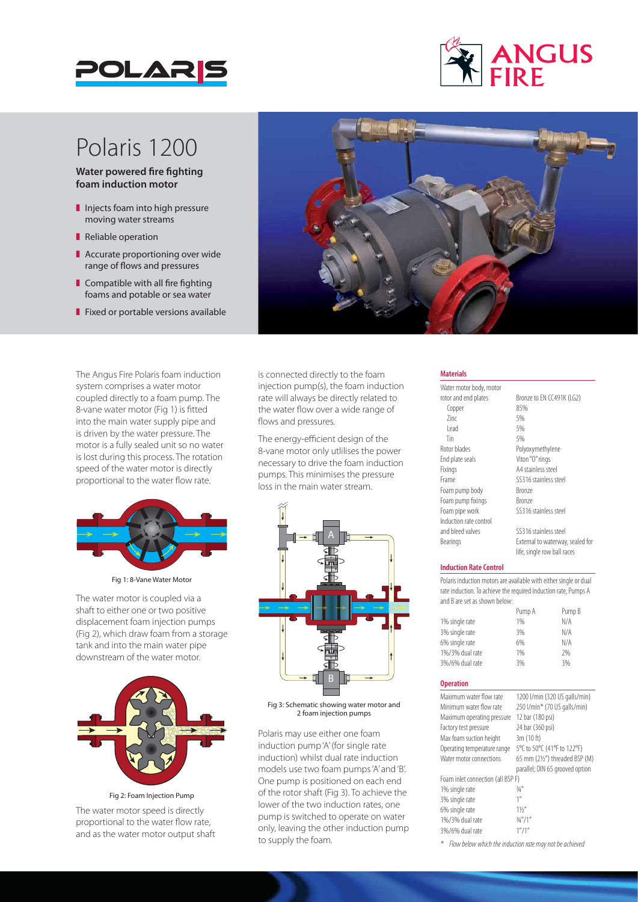



## Polaris 1200

**Water powered fire fighting foam induction motor**

- $\blacksquare$  Injects foam into high pressure moving water streams
- Reliable operation
- $\blacksquare$  Accurate proportioning over wide range of flows and pressures
- $\blacksquare$  Compatible with all fire fighting foams and potable or sea water
- $\blacksquare$  Fixed or portable versions available

The Angus Fire Polaris foam induction system comprises a water motor coupled directly to a foam pump. The 8-vane water motor (Fig 1) is fitted into the main water supply pipe and is driven by the water pressure. The motor is a fully sealed unit so no water is lost during this process. The rotation speed of the water motor is directly proportional to the water flow rate.



Fig 1: 8-Vane Water Motor

The water motor is coupled via a shaft to either one or two positive displacement foam injection pumps (Fig 2), which draw foam from a storage tank and into the main water pipe downstream of the water motor.



Fig 2: Foam Injection Pump

The water motor speed is directly proportional to the water flow rate, and as the water motor output shaft



is connected directly to the foam injection pump(s), the foam induction rate will always be directly related to the water flow over a wide range of flows and pressures.

The energy-efficient design of the 8-vane motor only utlilises the power necessary to drive the foam induction pumps. This minimises the pressure loss in the main water stream.



Fig 3: Schematic showing water motor and 2 foam injection pumps

Polaris may use either one foam induction pump 'A' (for single rate induction) whilst dual rate induction models use two foam pumps 'A' and 'B'. One pump is positioned on each end of the rotor shaft (Fig 3). To achieve the lower of the two induction rates, one pump is switched to operate on water only, leaving the other induction pump to supply the foam.

### **Materials**

Water motor body, motor rotor and end plates<br>
Fonner<br>
85%<br>
85% Copper  $\frac{2}{1}$   $\frac{5}{6}$ <br> $\frac{5}{6}$ Lead 5%<br>Tin 5% Tin 5% Rotor blades Polyoxymethylene End plate seals Viton "O" rings Fixings A4 stainless steel Frame SS316 stainless steel Foam pump body Bronze Foam pump fixings Bronze<br>
Foam pipe work SS316 Induction rate control and bleed valves SS316 stainless steel Bearings External to waterway, sealed for

SS316 stainless steel

life, single row ball races

#### **Induction Rate Control**

Polaris induction motors are available with either single or dual rate induction. To achieve the required induction rate, Pumps A and B are set as shown below:

|                 | Pump A | Pump B |
|-----------------|--------|--------|
| 1% single rate  | 1%     | N/A    |
| 3% single rate  | 3%     | N/A    |
| 6% single rate  | 6%     | N/A    |
| 1%/3% dual rate | 1%     | 2%     |
| 3%/6% dual rate | 3%     | 3%     |
|                 |        |        |

### **Operation**

| 1200 l/min (320 US galls/min)     |
|-----------------------------------|
| 250 l/min* (70 US galls/min)      |
| 12 bar (180 psi)                  |
| 24 bar (360 psi)                  |
| 3m (10 ft)                        |
| 5°C to 50°C (41°F to 122°F)       |
| 65 mm (21/2") threaded BSP (M)    |
| parallel; DIN 65 grooved option   |
| Foam inlet connection (all BSP F) |
| 3/4''                             |
| 1''                               |
| 11/2                              |
| 3/4''/1''                         |
| 1''/1''                           |
|                                   |

*\* Flow below which the induction rate may not be achieved*